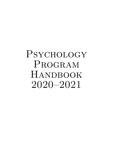# **PSYCHOLOGY** PROGRAM HANDBOOK 2020–2021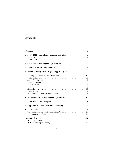# **Contents**

|              | Welcome                                                                                                                                                                      | 3                                                           |
|--------------|------------------------------------------------------------------------------------------------------------------------------------------------------------------------------|-------------------------------------------------------------|
| $\mathbf{1}$ | 2020–2021 Psychology Program Calendar                                                                                                                                        | $\overline{\mathbf{4}}$<br>$\overline{4}$<br>$\overline{5}$ |
| $\bf{2}$     | Overview of the Psychology Program                                                                                                                                           | 6                                                           |
| 3            | Diversity, Equity, and Inclusion                                                                                                                                             | $\overline{7}$                                              |
| 4            | Areas of Study in the Psychology Program                                                                                                                                     | 9                                                           |
| 5            | <b>Faculty Descriptions and Publications</b><br>Tom Hutcheon $\dots \dots \dots \dots \dots \dots \dots \dots \dots \dots \dots \dots \dots$<br>Kristin Lane<br>Frank Scalzo | 10<br>10<br>12<br>13<br>14<br>15<br>16<br>17<br>18          |
| 6            | Requirements for the Psychology Major                                                                                                                                        | 19                                                          |
| 7            | Joint and Double Majors                                                                                                                                                      | 21                                                          |
| 8            | <b>Opportunities for Additional Learning</b>                                                                                                                                 | 23                                                          |
| 9            | Moderation<br>Guidelines for Short Moderation Papers<br>9.1<br>9.2                                                                                                           | 24<br>24<br>25                                              |
|              | 10 Senior Project                                                                                                                                                            | $27\,$<br>27<br>29                                          |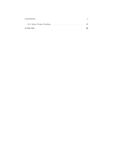| <b>CONTENTS</b> |    |
|-----------------|----|
|                 |    |
| 11 Psi Chi      | 33 |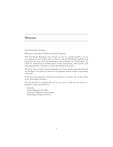# <span id="page-3-0"></span>**Welcome**

Dear Psychology Students:

Welcome to the Bard College Psychology Program!

This Psychology Handbook was created to serve as a general guide to use as you embark on your studies with us. Please read this Handbook carefully; this represents the most up-to-date guidelines and procedures for the Program. As you'll see, information is included about events, moderation, senior project, and psychology faculty. We hope you find this information useful.

The most recent version of this handbook, and more details about the Psychology Program, can always be found on the program website ([https://psychology](https://psychology.bard.edu) [.bard.edu\)](https://psychology.bard.edu).

If you have any questions, please do not hesitate to contact any of the faculty in the Psychology Program.

We look forward to working with all of you, and we wish you the best for a productive and successful year.

Sincerely, Sarah Dunphy-Lelii, PhD Associate Professor of Psychology Psychology Program Director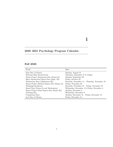# <span id="page-4-0"></span>**2020–2021 Psychology Program Calendar**

# **Fall 2020**

| Event                                        | Date                                          |
|----------------------------------------------|-----------------------------------------------|
| First Day of Classes                         | Monday, August 31                             |
| Welcome Back Social Event                    | Thursday, September $9 \& 4:45 \text{pm}$     |
| Senior Project Statements Due (Senior Is)    | Monday, September 28                          |
| Short Moderation Papers Due (Soph. IIs)      | Friday, October 23                            |
| Moderation Days (Sophomore IIs)              | Saturday, November 14 - Thursday, November 19 |
| Senior Project Midway Papers Due (Senior Is) | Friday, November 20                           |
| Thanksgiving Recess                          | Saturday, November 21 – Friday, November 27   |
| Board Days (Senior Is and Moderation)        | Wednesday, December 2 & Friday, December 4    |
| Senior Project Final Papers Due (Senior IIs) | Monday, December 7                            |
| Advising Day                                 | Wednesday, December 9                         |
| Completion Days                              | Monday, December $14$ – Friday, December 18   |
| Last Day of Classes                          | Friday, December 18                           |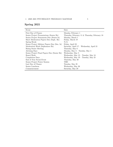# **Spring 2021**

| Event                                        | Date                                          |
|----------------------------------------------|-----------------------------------------------|
| First Day of Classes                         | Monday, February 1                            |
| Senior Project Presentations (Senior IIs)    | Thursday, February 11 & Thursday, February 18 |
| Senior Project Statements Due (Senior Is)    | Monday, March 1                               |
| Short Moderation Papers Due (Soph. IIs)      | Friday, March 19                              |
| Spring Break                                 | N/A                                           |
| Senior Project Midway Papers Due (Sen. Is)   | Friday, April 23                              |
| Moderation Week (Sophomore IIs)              | Saturday, April 17 – Wednesday, April 21      |
| Rising Senior Meeting                        | Thursday, May 6                               |
| Advising Days                                | Monday, May $3$ – Tuesday, May $4$            |
| Senior Project Final Papers Due (Senior IIs) | Wednesday, May 5                              |
| Board Week                                   | Wednesday, May $12$ – Tuesday, May 18         |
| Completion Days                              | Wednesday, May $19$ – Tuesday, May $25$       |
| End of Year Social Event                     | Thursday, May 20                              |
| Senior Project Poster Session                | TBD                                           |
| Last Day of Classes                          | Tuesday, May 25                               |
| Senior Luncheon                              | Wednesday, May 26                             |
| Commencement                                 | Saturday, May 29                              |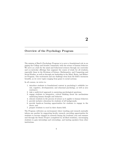# <span id="page-6-0"></span>**Overview of the Psychology Program**

The mission of Bard's Psychology Program is to serve a foundational role in engaging the College and broader community with the science of human behavior. We serve as a hub for the mind and behavioral sciences through our curricular and co-curricular offerings that augment the course of study for all students, especially those in the Divisions of Science, Mathematics, and Computing and Social Studies, as well as through our leadership in the Mind, Brain, and Behavior Program. Our excitement and our challenge stem from the field's enormous breadth, as we cover topics ranging from genes to social systems.

In all courses, we strive to:

- 1. introduce students to foundational content in psychology's subfields (social, cognitive, developmental, and abnormal psychology, as well as neuroscience);
- 2. take a multi-level approach to answering psychological questions;
- 3. engage students in integrative, critical thinking about the mechanisms underlying human thought and behavior;
- 4. educate students in the process of science as it applies to human behavior;
- 5. provide inclusive education for students of all backgrounds;
- 6. provide hands-on learning opportunities for students to engage in the above; and
- 7. prepare students to excel in their chosen field.

The Program cultivates an environment where teaching and research mutually inform one another by supporting faculty research, providing opportunities for students to become engaged in research during the academic year and summer and through the Senior Project (completed by all Bard students), encouraging students to gain internships and externships, and hosting speakers from other institutions.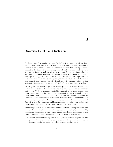# <span id="page-7-0"></span>**Diversity, Equity, and Inclusion**

The Psychology Program believes that Psychology is a major in which any Bard student can succeed, and we strive to make the Program one in which students in all courses feel like they belong. The Program believes that diversity is a vital foundation for innovation, leadership, and cultural awareness, and we strive to create an inclusive and accessible environment through continual efforts in pedagogy, curriculum, and advising. We aim to foster a welcoming environment that represents opportunities for all students through inclusive representation and promotion of voices historically marginalized because of such factors as race, ethnicity, sex, gender, sexual orientation, socioeconomic status, religion, nationality, immigration status, age, political affiliation, and physical ability.

We recognize that Bard College exists within systemic patterns of cultural and economic oppression that have denied certain groups equal access to education and power. To be a genuinely equitable community, we must welcome and enact change and transformation, and we commit to the continual creation and strengthening of opportunities for equal access both in and outside of the classroom. This commitment necessitates that we create a community that encourages the expression of diverse perspectives, supports learning and work that is free from discrimination and harassment, promotes inclusion and respect, and regularly evaluates progress toward meeting diversity goals.

Supporting a diverse and inclusive environment is everyone's responsibility. The Program takes seriously our own role in actively contributing to social equality, empowering individuals to share their unique experiences, challenging stereotypes, promoting critical thinking skills, and becoming engaged citizens.

• We will continue teaching courses highlighting systemic inequalities, integrating this content into our other courses, and introducing new courses that respond to the impact of racism, stigma, and inequality.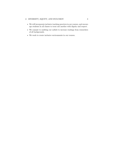### *3. DIVERSITY, EQUITY, AND INCLUSION* 8

- We will incorporate inclusive teaching practices in our courses, and encourage students in all classes to treat one another with dignity and respect.
- We commit to auditing our syllabi to increase readings from researchers of all backgrounds.
- We work to create inclusive environments in our courses.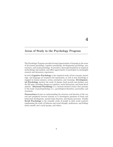# <span id="page-9-0"></span>**Areas of Study in the Psychology Program**

The Psychology Program provides focused opportunities of learning in the areas of ab-normal psychology, cognitive psychology, developmental psychology, neuroscience, and social psychology. It provides a thorough foundation in empirical methodology and analysis, and offers opportunities to participate in meaningful research and laboratory experiences.

In brief, **Cognitive Psychology** is the empirical study of how concepts, knowledge, and language are acquired and represented, as well as how knowledge is engaged in human memory, action, perception, and reasoning. **Developmental Psychology** involves the study of change (both growth and decline) over the life span, including changes in cognition, social interaction, and brain development. **Abnormal Psychology** is a research-oriented science that pertains to the study of psychopathology (i.e., psychological disorders), personality, and treatment.

**Neuroscience** focuses on understanding the structure and function of the central and peripheral nervous systems as it investigates questions of brain and behavioral development, normal brain function, and disease processes. Finally, **Social Psychology** is the scientific study of people in their social contexts, emphasizing the study of behavior and social thought, preferences, and feelings about oneself, one's social groups, and others.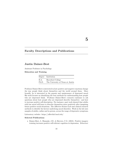# <span id="page-10-0"></span>**Faculty Descriptions and Publications**

# **Justin Dainer-Best**

Assistant Professor in Psychology

<span id="page-10-1"></span>**Education and Training**

|       | Degree Institution                |
|-------|-----------------------------------|
| B.A.  | Haverford College                 |
| Ph.D. | The University of Texas at Austin |

Professor Dainer-Best is interested in how positive and negative emotions change the way people think about themselves and the world around them. More broadly, he is interested in the genesis and maintenance of depressed mood. His work focuses on identifying the best methods for understanding how people who are depressed think. Professor Dainer-Best's research continues to ask questions about how people who are depressed describe themselves—and how to increase positive self-description. For instance, past work showed that adults with low mood will learn to describe themselves more positively after imagining future positive social situations. [The Affective Science Lab](https://affectlab.bard.edu/) uses clinical research methods to identify the factors underlying mood disorders. Work in the lab uses samples of adults, online and in person, across the range of depressive symptoms.

Laboratory website: <https://affectlab.bard.edu/>

#### **Selected Publications**

• Dainer-Best, J., Shumake, J.D., & Beevers, C.G. (2018). Positive imagery training increases positive self-referent cognition in depression. *Behaviour*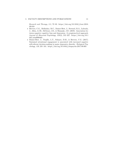*Research and Therapy*, *111*, 72–83. [https://doi.org/10.1016/j.brat.2018.](https://doi.org/10.1016/j.brat.2018.09.010) [09.010](https://doi.org/10.1016/j.brat.2018.09.010)

- Beevers, C.G., Mullarkey, M.C., Dainer-Best, J., Steward, R.A., Labrada, J., Allen, J.J.B., McGeary, J.E., & Shumake, J.D. (2019). Association between negative cognitive bias and depression: A symptom-level approach. *Journal of Abnormal Psychology*, *128*(3), 212–227. [https://doi.org/10.1](https://doi.org/10.1037/abn0000405) [037/abn0000405](https://doi.org/10.1037/abn0000405)
- Dainer-Best, J., Trujillo, L.T., Schnyer, D.M., & Beevers, C.G. (2017). Sustained attentional engagement is associated with increased negative self-referent decision-making in major depressive disorder. *Biological Psychology*, *129*, 231–241. <https://doi.org/10.1016/j.biopsycho.2017.09.005>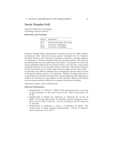# **Sarah Dunphy-Lelii**

Associate Professor in Psychology Psychology Program Director

#### <span id="page-12-0"></span>**Education and Training**

|       | Degree Institution            |
|-------|-------------------------------|
| B.A.  | Pennsylvania State University |
| M.A.  | University of Michigan        |
| Ph.D. | University of Michigan        |

Professor Dunphy-Lelii's undergraduate education focused on child cognitive development, after which she became project coordinator for the Cognitive Evolution Group at the University of Louisiana, Lafayette, studying cognition in chimpanzees. Professor Dunphy-Lelii then pursued graduate work with human preschoolers on very similar theoretical topics—for example, the ways that young individuals think about the minds of others, and how they reason about unseeable behaviors such as thoughts, beliefs, and desires. She became intrigued by how the specific case of autism might shed some light on these same topics in particular, how different children learn to distinguish self from other in terms of perspective-taking, memory, and imitation. Professor Dunphy-Lelii spent a recent sabbatical in Kibale National Park, Uganda following wild chimpanzees; at Bard, her interests in young children's social cognition, children with autism, and non-human primates influence her ongoing research and teaching.

Laboratory website: <http://cdp.bard.edu>

- Dunphy-Lelii, S. & Mitani, J. (2019). Wild chimpanzees show a decrease in pant grunting over their first 6 years of life. *Folia Primatologica*, *90*, 77–88.
- Dunphy-Lelii, S., Hooley, M., McGivern, L., Skouteris, H., & Cox, R. (2014). Can I reach that sticker? Preschoolers' practical judgments about their own and others' body size. *Journal of Cognition and Development*, *15*, 584–598.
- Dunphy-Lelii, S., LaBounty, J., Lane, J., & Wellman, H. (2014). The social context of infant intention understanding. *Journal of Cognition and Development*, *15*(1), 60–77.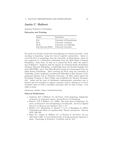# **Justin C. Hulbert**

Assistant Professor in Psychology

#### <span id="page-13-0"></span>**Education and Training**

| Degree               | Institution                |
|----------------------|----------------------------|
| B.A.                 | University of Pennsylvania |
| M.A.                 | University of Oregon       |
| Ph.D.                | University of Cambridge    |
| Post-Doctoral Fellow | Princeton University       |

For nearly two decades, he has been investigating core memory processes—from encoding to forgetting—using the tools of cognitive neuroscience. Justin received his B.A. in psychology from the University of Pennsylvania, where he was supported by a full-tuition scholarship from the Walt Disney Company Foundation. From there, he went on to pursue his Ph.D. under the supervision of Michael C. Anderson with the support of a National Science Foundation Graduate Research Fellowship, a studentship from the Scottish Imaging Network (SINAPSE), and a Tom Slick Research Award in Consciousness from the Mind Science Foundation. After receiving his Ph.D. from the University of Cambridge, Justin completed a postdoctoral fellowship in Ken Norman's Computational Memory Lab at Princeton University. In 2015, Justin joined the Psychology Program at Bard College and established the Memory Dynamics Lab. Justin and his team of enthusiastic undergraduate researchers aim to harness and test strategies to support conscious control, allowing us to better remember what we wish to remember and forget what we wish to forget—even while we sleep.

Laboratory website: <https://memlab.bard.edu>

- Anderson, M.C. & Hulbert, J.C. (In Press). Active forgetting: Adaptation of memory by prefrontal control. *Annual Review of Psychology*.
- Fawcett, J.M. & Hulbert, J.C. (2020). The many faces of forgetting: Toward a constructive view of forgetting in everyday life. *Journal of Applied Research in Memory and Cognition*, *9*(1), 1–18.
- Hulbert, J.C., Hirschstein, Z., Brontë, C. A. L., & Broughton, E. (2018). Unintended side effects of a spotless mind: Theory and practice. *Memory*, *26*(3), 306–320.
- Beier, E.J., Janata, P., Hulbert, J.C., & Ferreira, F. (In Press). Do you chill when I chill? A cross-cultural study of strong emotional responses to music. *Psychology of Aesthetics, Creativity, and the Arts*.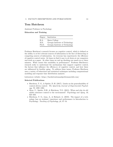# **Tom Hutcheon**

Assistant Professor in Psychology

#### <span id="page-14-0"></span>**Education and Training**

|       | Degree Institution              |
|-------|---------------------------------|
| B.A.  | Bates College                   |
| M.S.  | Georgia Institute of Technology |
| Ph.D. | Georgia Institute of Technology |

Professor Hutcheon's research focuses on cognitive control, which is defined as the ability to se-lect relevant sources of information in the face of distracting or competing sources of information. As everyone has experienced, the efficiency of cognitive control varies. At times we find it easy to sit down at our computers and work on a paper. At other times we end up checking our email eve-ry three minutes. What causes this variability in performance? Professor Hutcheon's research seeks to understand the mechanisms that support cognitive control, the factors that influence the efficien-cy of cognitive control, and how these are influenced by healthy aging. To address these issues, Professor Hutcheon uses a variety of behavioral and statistical techniques including computational modeling and response time distribution analyses.

Laboratory website: <https://bardattentionandperformancelab.com/>

- Hutcheon, T. G., & Spieler, D. H. (2017). Limits on the generalizability of context-driven control. *The Quarterly Journal of Experimental Psychology*, *70*, 1292–1304.
- Myar, U., Spieler, D.H., & Hutcheon, T.G. (2015). When and why do old adults outsource control to the environment? *Psychology and Aging*, *30*, 624–633.
- Hutcheon, T. G., Lian, A., & Richard, A. (2019). The impact of a technology ban on students' experience and performance in Introduction to Psychology. *Teaching of Psychology*, *46*, 47–54.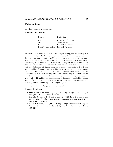### **Kristin Lane**

Associate Professor in Psychology

### <span id="page-15-0"></span>**Education and Training**

| Degree               | Institution            |
|----------------------|------------------------|
| B.A.                 | University of Virginia |
| M.S.                 | Yale University        |
| Ph.D.                | Harvard University     |
| Post-Doctoral Fellow | Harvard University     |

Professor Lane is interested in how social thought, feeling, and behavior operate in a social context. With robust empirical evidence from the last few decades demonstrating how much of mental life takes place outside our conscious awareness has come the realization that people may hold two sets of attitudes toward a given object. Professor Lane is interested in implicit attitudes and beliefs (those that exist outside the bounds of conscious awareness and cannot be verbally reported evidence). In particular, her research focuses on implicit attitudes toward and beliefs about members of different social groups (race, class, gender, etc.). She investigates the fundamental ways in which such attitudes, identities, and beliefs operate: How do they form, and how are they connected? At the same time, Professor Lane is interested in ways in which such cognitions operate in the real world, and how an understanding of them can be applied to domains outside of the lab. Recent research explores the role of implicit attitudes and stereotypes in the gender gap in science participation.

Laboratory website: <https://psychexp.bard.edu/>

- Open Science Collaboration (2015). Estimating the reproducibility of psychological science. *Science*, *349*(6251).
- Lane, K. A., Goh, J. X., & Driver-Linn, E. (2012). Implicit science stereotypes mediate the relationship between gender and academic participation. *Sex Roles*, *66*, 220–234.
- Kang, J. & Lane, K.A. (2010). Seeing through colorblindness: Implicit bias and the law. *University of California (Los Angeles) Law Review*, 465–520.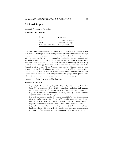# **Richard Lopez**

Assistant Professor of Psychology

### <span id="page-16-0"></span>**Education and Training**

| Degree               | Institution          |
|----------------------|----------------------|
| B.A.                 | Princeton University |
| Ph.D.                | Dartmouth College    |
| Post-Doctoral Fellow | Rice University      |

Professor Lopez's research seeks to elucidate a core aspect of our human experience, namely: the ways in which we negotiate our various emotions and cravings in order to achieve our goals and promote health and wellbeing. By incorporating psychological theories about emotion, motivation, and goal pursuit with methodological tools from experimental psychology and cognitive neuroscience, Professor Lopez examines individual difference factors underlying self-regulatory abilities in both the appetitive and affective domains. He and members of the Regulation of Everyday Affect, Craving, and Health (REACH) Lab are particularly interested in developing naturalistic models of self-regulation by characterizing and predicting people's moment-by-moment experiences of cravings and emotions in daily life—with an eye toward developing flexible, personalized interventions to improve various aspects of health and wellbeing.

Laboratory website: <https://reachlab.bard.edu/>

- Lopez, R.B., Brown, R.L., Wu, E.L., Murdock, K.W., Denny, B.T., Heijnen, C., & Fagundes, C.P. (2020). Emotion regulation and immune functioning during grief: Testing the role of expressive suppression and cognitive reappraisal in inflammation among recently bereaved spouses. *Psychosomatic Medicine*, *82*(1), 2–9.
- Lopez, R.B., Courtney, A.L., & Wagner, D.D. (2019). Recruitment of cognitive control regions during effortful self-control is associated with altered brain activity in control and reward systems in dieters during subsequent exposure to food commercials. *PeerJ—Brain and Cognition*, 7:e6550.
- Lopez, R.B., Heatherton, T.F., & Wagner, D.D. (2019). Media multitasking is associated with higher risk for obesity and increased responsiveness to rewarding food stimuli. *Brain Imaging and Behavior*, *14*, 1050–1061.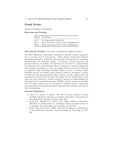## **Frank Scalzo**

Associate Professor in Psychology

<span id="page-17-0"></span>**Education and Training**

|       | Degree Institution                         |
|-------|--------------------------------------------|
| B.A.  | St. Bonaventure University                 |
| M.A.  | State University of New York at Binghamton |
| Ph.D. | State University of New York at Binghamton |

**Prior Faculty Position**: University of Arkansas for Medical Sciences

The Bard Behavioral Neuroscience Laboratory provides research opportunities in several areas of neuroscience. These include invertebrate behavior, immunohistochemistry, behavioral pharmacology, neurobehavioral teratology, neuroanatomy and molecular biology. Laboratory research integrates the research interests of students and faculty and is focused on understanding the behavioral and neurobiological effects of exposure to chemical substances whose primary mechanism of action are through the nervous system. Research is conducted using developing zebrafish (*Danio rerio*) as an animal model. Zebrafish provide an excellent model system in which to investigate a variety of behavioral and pharmacological effects because of their rapid growth and transparency during the larval stage that allows for the visualization of neuronal and other structures. Current research is focused on understanding the functional role of n-methyl-d-aspartate (NMDA) receptor systems in zebrafish and how these systems can be perturbed by chemical insults. Behavioral, neuroanatomical, psychopharmacological and molecular techniques are used in these investigations.

- Chen, B. & Scalzo, F. (2015). The effects of acute nicotine on larval zebrafish exploratory behavior in a complex environment. Presentation at Neurobehavioral Teratology Society, June 2015.
- Swain H.A., Sigstad, C. & Scalzo, F.M. (2006). Effects of dizocilpine (MK-801) on circling behav-ior, swimming activity and place preference in zebrafish. *Neurotoxicology and Teratology*, *26*, 725–729.
- Scalzo, F.M. & Levin, E.D. (2004). The use of zebrafish as a model system in neurobehavioral toxicology. *Neurotoxicology and Teratology*, *26*, 707– 708.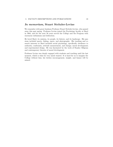### *In memoriam***, Stuart Stritzler-Levine**

We remember with great fondness Professor Stuart Stritzler-Levine, who passed away this past spring. Professor Levine joined the Psychology faculty at Bard in 1964, and for the next 56 years served the College and the Program with enormous enthusiasm and dedication.

He loved Bard, its mission, its people, its history, and its landscape. His passions included sports, fishing, opera, and photography. His teaching and research interests at Bard included social psychology, specifically obedience to authority, conformity, attitude measurement, and change; moral development; and experimental design. He was fascinated by the work of Stanley Milgram and contemporary theories of moral development.

Professor Levine was deeply engaged with students and teaching until the last moment, which is what he very much wanted. It is hard for us to imagine the College without him; his tireless encouragement, insight, and humor will be missed.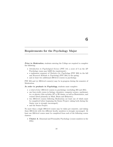# <span id="page-19-0"></span>**Requirements for the Psychology Major**

**Prior to Moderation**, students entering the College are required to complete the following:

- *Introduction to Psychological Science* (PSY 141; a score of 5 on the AP Psychology exam may fulfill the requirement);
- a sophomore sequence of *Statistics for Psychology* (PSY 203) in the fall and *Research Methods in Psychology* (PSY 204) in the spring;
- and at least two additional 200-level courses in psychology.

PSY 204 and (a) 200-level course(s) may be in-progress during the semester of Moderation.

*In order to graduate in Psychology*, students must complete:

- a total of *four* 200-level courses in psychology (excluding 203 and 204);
- one four-credit course in biology, chemistry, computer science, mathematics, or physics (this excludes AP or IB classes, as well as Biostatistics, and courses listed primarily in Mind, Brain and Behavior);
- two 300-level courses following Moderation (at least one of which must be completed before beginning the Senior Project; taking both during the Junior year is strongly encouraged);
- and the Senior Project.

No more than a single 300-level course may be taken per semester, and taking these 300-levels with two different faculty members is strongly encouraged. At least one 200-level course must be completed from each of the following course clusters:

• **Cluster A**: Abnormal and Personality Psychology (course numbers in the 210s).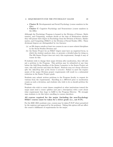- **Cluster B**: Developmental and Social Psychology (course numbers in the 220s).
- **Cluster C**: Cognitive Psychology and Neuroscience (course numbers in the 230s).

Although the Psychology Program is housed in the Division of Science, Mathematics, and Computing, students decide at the time of Moderation whether they will pursue their degree in Psychology from the Division of Science, Mathematics, and Computing (SM&C) or the Division of Social Studies (SSt). These divisional degrees are distinguished by two features:

- (a) an SSt degree entails at least two courses in one or more related disciplines in the Social Studies Division and
- (b) the Senior Project for an SM&C degree must have an empirical focus, in which the student analyzes data, or presents a detailed plan for doing so. The SSt Senior Project does not carry this requirement, though it may of course do this.

If students wish to change their major division after moderation, they will submit a petition to the Program. This petition may be submitted at any time before the Add/Drop deadline of the Senior I semester to the Senior Project advisor, who will convene and chair the Board. *Students may not change divisions after the Add/Drop date of the Senior I semester.* Failure to meet the requirements of the major Division project requirements will result in a substantial reduction in the Senior Project grade.

Students may submit written petitions to the Program faculty to request deviations from the requirements. Enrolling in a 300-level prior to moderation counts as such a deviation, and students who wish to do so should petition the Program.

Students who wish to count classes completed at other institutions toward the major must send a course *syllabus* (not just a description) with a note about what requirement they hope to fulfill to the Program Director. We strongly urge students to do this *before* enrolling in courses elsewhere.

#### **All courses required for the major (including the non-Psychology SM&C course) must be taken for a letter grade (i.e., not P/F).**

For the 2020–2021 academic year, courses may be taken P/D/F where permitted by the registrar and approved by the professor. Taking this option will not affect the course's fulfillment of requirements for the major.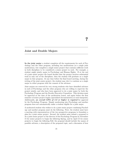# <span id="page-21-0"></span>**Joint and Double Majors**

**In the joint major** a student completes all the requirements for each of Psychology and the other program, including two moderations (or a single joint moderation), but completes a single senior project that contains sufficient work in both disciplines to be considered a senior project in each. For example, a student might jointly major in Psychology and Human Rights. If at the end of a joint senior project the board decides that the project involves substantial work in only one of the disciplines, then the student will graduate as a single major in that program. At any time before the final board meeting, during the writing of the joint senior project, the student may elect to continue as a single major in either program with the consent of the advisors.

Joint majors are reserved for very strong students who have identified advisors in each of Psychology and the other program who are willing to supervise the project jointly, and who have been approved to do a joint major by both the Psychology Program and the Faculty Executive Committee. This decision must be approved at the time of the moderation board, and again before the first semester of senior project begins (specialized documentation at each timepoint). Additionally, *an overall GPA of 3.0 or higher is required* for approval by the Psychology Program. Simply moderating into Psychology and another program does not automatically make a student eligible for a joint major.

A moderated student who wishes to do a joint senior project combining Psychology and another program must do the following. First, the student must have a meeting with representatives of the two prospective programs to formulate a plan for a joint senior project. Second, the student must submit a proposal to do a joint senior project to the director of the Psychology Program by November 15 for senior projects to begin the following Spring, and by April 15 for senior projects to begin the following Fall; the proposal should include the names of possible advisors, a description of the proposed topic, and a discussion of how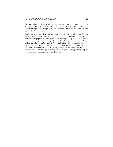the topic relates to both psychology and the other program, and a summary of relevant conversations with the other program. If the Psychology Program approves the proposal, the proposal must then be sent to the Faculty Executive Committee for final approval.

**Students who intend to double major** (or who are considering double majoring) should discuss their plans for the double major in depth at moderation (in their short papers and during the board meeting). They should have a clear plan for carrying out the charge of completing two Senior Projects. Double majors must have a *minimum 3.0 overall GPA* before beginning their Psychology Senior Project. In cases where the GPA at the start of Senior Project is less than 3.0, students will choose to major in *either* Psychology or their other planned major. We strongly encourage double majors to 'stagger' their projects, beginning one a full semester before the other.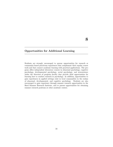# <span id="page-23-0"></span>**Opportunities for Additional Learning**

Students are strongly encouraged to pursue opportunities for research or community-based practicum experiences that complement their regular course work and that connect academic learning with practical applications. The program offers independent laboratory courses in abnormal psychology, cognitive psychology, developmental psychology, social psychology, and neuroscience under the direction of program faculty that provide ideal opportunities for learning how to conduct research in psychology. In addition, opportunities to gain experiences in applied settings exist in local communities in the realms of abnormal, developmental, and cognitive psychology. Students are also encouraged to gain experience through summer research opportunities in the Bard Summer Research Institute, and to pursue opportunities for obtaining summer research positions at other academic centers.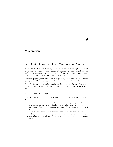# <span id="page-24-0"></span>**Moderation**

# <span id="page-24-1"></span>**9.1 Guidelines for Short Moderation Papers**

For the Moderation Board (during the second semester of the sophomore year), the student prepares two short papers (Academic Past and Future) that describe their academic past experiences and future plans, and a longer paper that summarizes and analyzes an empirical article.

The short papers (about two or three pages each) are required for moderation College-wide. More information can be found on [the registrar's website.](https://www.bard.edu/registrar/moderation/)

The following are meant to be guidelines only, not a rigid format. You should think of them as areas you should address. The format of the papers is up to you.

### **9.1.1 Academic Past**

This paper should be an overview of your college education to date. It should include:

- a discussion of your coursework to date, including how your interest in psychology has evolved, particular courses taken, and so forth. Also, a discussion of academic experiences outside of psychology would be welcome
- a critical evaluation of your strengths and weaknesses as a student
- a discussion of how your objectives have evolved since coming to college
- any other issues which are relevant to an understanding of your academic work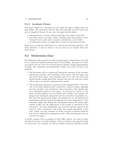#### **9.1.2 Academic Future**

This paper should be a discussion of your plans for Upper College work and post-college. We understand that the first and especially second of these may not be completely formed. In any case, the paper should include:

- anticipated areas of study within psychology and outside of the field
- your ideas about work after college, including plans for graduate or professional school, career plans, summers, intersessions, and so forth
- an indication of what you might like to study for your Senior Project

Please bear in mind that Moderation is a concentrated advising experience. We want, therefore, to learn as much as we can about you as student from your short papers.

### <span id="page-25-0"></span>**9.2 Moderation Days**

The Moderation days provide you with an opportunity to demonstrate your ability to evaluate an empirical research report in Psychology. Your goal is to write two papers over the course of a five-day period, together totaling approximately 10 pages, that summarize and analytically evaluate the article you have been assigned:

- 1. The first paper will be a concise and informative summary of the rationale, hypotheses, methods, and conclusions of the article; this first paper may not exceed three pages. Your summary must be in your own words and should include enough detail that someone who has not read your article will be able to accurately understand the content.
- 2. The second paper will focus on analysis of your assigned article. Your analysis of the article should provide constructive, analytic content regarding the data, methods, and conclusions of the re-searchers. This should make up a substantial portion of your paper. It need not be "critical" in the sense of being negative, but you should state whether, for example, the design of an experiment adequately tests the researchers' hypotheses (i.e., How does the experimental design, the stimulus set, or the task that the participants performed permit an adequate test of the hypothesis?). Your evaluation might also address the relationship between the actual experimental results and the implications of the results as described by the researchers. You may thoughtfully and creatively link the content of the article to other coursework, both inside and outside psychology, if relevant. Lastly, you may comment on future research or propose questions that may be addressed in subsequent studies. This second paper may not exceed seven pages.

A faculty member will be available in their office and/or via email at times throughout the day to provide guidance. There are limits to the amount of help we can provide. For example, we will not explain statistical methods in detail,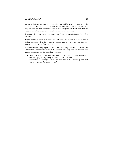#### *9. MODERATION* 26

but we will direct you to resources so that you will be able to comment on the experimental results in a manner that reflects your level of understanding. You may not consult any individuals about your assigned article or your written response with the exception of faculty members in Psychology.

Students will upload their final papers for electronic submission at the end of the day.

**Note**: Students must have completed at least one semester at Bard before sitting for moderation (i.e., transfer students may not moderate in their first semester at the Annandale campus).

Students should bring copies of their short and long moderation papers, the source article assigned to them on Moderation Saturday, and a new short document that addresses the following questions:

- What are 2–3 things that you think you did well in your Moderation Saturday papers, especially in your analysis of the article?
- What are 2–3 things you could have improved in your summary and analysis Moderation Saturday papers?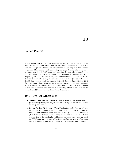# <span id="page-27-0"></span>**Senior Project**

In your junior year, you will describe your plans for your senior project taking into account your preparation, and the Psychology Program will match you with an appropriate advisor. For students receiving a degree in the Division of Science, Mathematics, and Computing, the project must take the form of (A) an empirical study (with associated paper) or (B) a detailed proposal for an empirical project. For the latter, the proposal should be on the model of a grant proposal (written in the future tense), and should include all potential measures, detailed data analytic plans, and predicted results section (see below for more detail). For students receiving a degree in the Division of Social Studies (SSt), the project must focus on answering a research question or series of questions using psychological sources including theory and empirical research. Seniors should plan to confirm the Division in which they intend to graduate by the end of the Add/Drop period of their Senior II semester.

## <span id="page-27-1"></span>**10.1 Project Milestones**

- **Weekly meetings** with Senior Project Advisor You should consider your meetings with your project advisor as a regular class time. Attend meetings prepared!
- **Senior Project Statement** You will submit an early, short description of your project (about 1 page) in which you: (1) State your research question and provide a brief summary of how you intend to answer it, (2) Indicate whether you plan to complete the SSt or SM&C model (and whether this is the division into which you are moderated  $-$  you can check on BIP if you're unsure), and (3) Indicate whether you plan to collect data, and if so, describe your plans for doing so and estimate your expenses.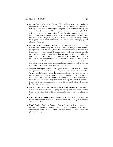#### *10. SENIOR PROJECT* 28

- **Senior Project Midway Paper** Your midway paper may emphasize different aspects of your project; discuss with your advisor which focus for writing will be most useful for you and your board members during your midway board discussion. Midway papers frequently are excerpts of the writing for a section of your project. Regardless of the particular focus you use, midway papers should be at least 10–12 double-spaced pages of text, and include: *your proposed project title, a 150–200 word abstract (including brief hypotheses, method, and results), and an annotated bibliography with at least 10 sources*.
- **Senior Project Midway Meeting** Your meeting with your committee is an excellent opportunity for feedback – the more thoughtful and detailed your proposal is at this point, the better feedback the committee can offer. If necessary, you may submit (working closely with your advisor) an IRB proposal before your midway board, but you may not begin data collection until after the board meeting. This meeting must be timed so that faculty feedback can be integrated into any potential IRB revision. The board is comprised of at least one member of the psychology program and at least two other faculty from Bard. Additional persons, such as staff or persons from other institutions, may serve on the board.
- **Project pre-registration** (*SM&C projects only*) You will, in the spirit and practice of Open Science, pre-register your empirical plan online [\(https://cos.io/prereg/\)](https://cos.io/prereg/) using the template at <https://aspredicted.org/> or another suitable preregistration template. If you are doing a data collection project, this preregistration will be submitted after receiving approval from the IRB but can be prepared simultaneously with the IRB proposal. If you are doing a data proposal project, this preregistration will be done by Dec 15th at the latest.
- **Midway Senior Project PowerPoint Presentation** You will deliver a 5-minute presentation to the program faculty and your peers. Spring Senior Is will either deliver this presentation to their board or at a Program colloquium.
- **Final Senior Project Poster Session** Students graduating from the SM&C Division will present a poster with other SM&C majors at the end of the Senior II semester.
- <span id="page-28-0"></span>• **Final Senior Project Board** – You will meet with your board and discuss your submitted Senior Project. Students graduating in the SSt Division will deliver a 15–20 minute presentation to the board after completing the project.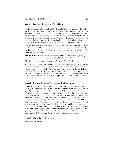### **10.2 Senior Project Grading**

The Final Senior Project Grade will be determined by all members of the project board and will be based on the rubric provided below. Performance on all aspects of the project, including the final Senior Project Board and Senior Project Presentations, will be assessed. The Board will then discuss and finalize grades in conjunction with all faculty in the Psychology Program later in the week (or in the following weeks). Once the final grade is determined, advisors will contact advisees to share the grade and provide additional feedback.

The Psychology Program recognizes that the new realities of world and work call for more flexible and individualized systems of assessment. We offer two grading options for senior project – each student selects which works best for them and their project.

**EITHER**, the student chooses to proceed with the *traditional system of the full letter grade range* (A, A-, B+, B, B-, C+, C, C-, D, F)

**OR** the student chooses to proceed with the *A, Pass, D, Fail* option.

Note that in the second option above there are only 4 possible grades, versus the 10 possible grades in the traditional system. This second option offers what some students like about the  $P/D/F$  system, while also preserving the possibility of an A grade for a truly excellent project. And of course the first option preserves the traditional grading system for those who prefer it. Students will discuss with their advisor, before the final senior project board, in order to make their own decision about the grading system.

#### **10.2.1 Senior Project Assessment Guidelines**

Grades will be based both on the quality of the project and on the effort put into the project. *Please note that final grade determination will be based on quality and effort demonstrated across both semesters!* Thus, strong effort in the second semester cannot make up for poor effort during first semester, and consistent and prolific production of writing in second semester cannot make up for a lack of writing during first semester. Details are provided below. Not all of these guidelines may apply to Senior Projects in the Division of Social Studies (SSt). As such projects may take a variety of forms, it is important to work with your advisor and Midway Board members to establish clear assessment guidelines for the finished product by the end of Senior I. Given the more flexible nature of the SSt Project, students who would benefit from clear, pre-established grading criteria may find the model for a project in the Division of Science, Mathematics, & Computing described above a more comfortable fit.

#### **10.2.2 Quality of Product**

**Research Question**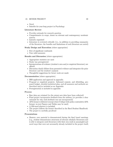#### *10. SENIOR PROJECT* 30

- Novel
- Suitable for year-long project in Psychology

#### **Literature Review**

- Provides rationale for research question
- Comprehensive in scope, draws on relevant and contemporary academic sources
- Linearly organized
- Literature is reviewed critically (i.e., in addition to providing summaries of the literature, the benefits and limitations of such literature are noted)

#### **Study Design and Execution** (where appropriate)

- Free of significant confounds
- Uses valid measures

#### **Results and Discussion** (where appropriate)

- Appropriate statistics are used
- Study was preregistered
- Interpretations of evidence (student's own and/or empirical literature) are offered
- Discussion clearly follows from presented evidence and integrates the prior literature and the student's analysis
- Thoughtful suggestions for future work are made

#### **Documentation** (where appropriate)

- IRB application and approval in appendix
- Proposal or empirical projects: Informed consent, and debriefing, proposed budget, detailed statistical plan, and all measures and methods are described and/or included as an Appendix
- Preregistration is included in appendix

#### **Process**

- Raw data are retained (to the extent new data have been collected)
- Final project incorporates feedback from the midway (or provides a clear rationale for why such feedback was not incorporated)
- APA format is followed (except where College-wide policy contradicts APA format; in-text Figures and Tables may be used)
- A 250-word abstract is included
- The project follows the format described in the Bard Student Handbook
- The project is carefully proofread

#### **Presentations**

• Mastery over material is demonstrated during the final board meetings (e.g., student demonstrates awareness of relevant scholarly literatures and is able to integrate such literatures with their own work in meaningful and novel ways that were not necessarily already included in the project itself;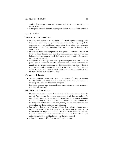student demonstrates thoughtfulness and sophistication in conveying criticisms of own work)

• Powerpoint presentation and poster presentation are thoughtful and clear

#### **10.2.3 Effort**

#### **Initiative and Independence**

- Student took initiative to schedule and attend regular meetings with the advisor according to agreements established at the beginning of the semester, proposed additional consultation from other knowledgeable individuals in the field, including other members of the board, where appropriate
- Student attended meetings prepared with questions and demonstrated initiative of both thought (e.g., questions about material) and process (e.g., independently at-tempted statistical analyses and literature integration prior to asking for help)
- Independence in thought and work grew throughout the year. It is expected that students will need help with research question and thesis formulation, experi-mental design, and techniques early on, but by later in the year the student should be proficient in all aspects of the projects – able to understand research methodology, troubleshoot problems, and interpret results with little to no help

#### **Working with Faculty**

- Student responded well to and incorporated feedback (as demonstrated by continual additional work – both revised and novel – that is brought to meetings with advisor throughout the year)
- Individual advisors may have additional expectations (e.g., attendance at a weekly lab meeting)

#### **Reliability and Consistency**

- Students are expected to work a minimum of 12 hours per week on the project. Work during the January (or summer) break does not make up for low effort during the first semester of the project. As a general guideline to planning the year, for most projects in the first semester, students will be doing a lot of background reading, refining the research question, and developing the thesis and experimental design
- For projects that require collection of data, data collection should aim to begin by the end of the first semester. In the second semester, library research and writing should continue. Data collection should end at least 5–6 weeks prior to the due date for the final paper so that data analysis, data interpretation, and final report writing can proceed
- <span id="page-31-0"></span>• All deadlines outlined by Psychology Program are met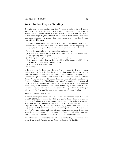### **10.3 Senior Project Funding**

Students may request funding from the Program to assist with their senior projects (e.g., to cover the cost of participant compensation). To make such a request, students should submit [this form](https://forms.gle/5dNNwVnp1KDL48U88) (while signed into your Bard email) to the Psychology Program Director by the end of their Senior I semesters. **You must discuss your plans with your senior project advisor before submitting this form.**

Those seniors intending to compensate participants must submit a participant compensation plan as part of the linked form above, before beginning data collection, to the Program Director. The plan must indicate the following:

- (a) whether data collection will take place online or in-person,
- (b) the targeted number of participants, with rationale for that number (e.g., an a priori power analysis),
- (c) the expected length of the study (e.g., 40 minutes),
- (d) the payment rate or how participants will be paid (e.g. pro-rated 20-minute study, or drawing every 20 participants),
- (e) the total expected cost, and
- (f) a budget.

In keeping with the Psychology Program's commitment to diversity, equity, and inclusion, we have developed a system so that seniors do not have to use their own money and wait for reimbursement. After approval of the participant compensation plan, a student will consult with the Program Director and their Senior Project advisor to (1) ensure there are sufficient monies available for electronic disbursement of funds in the case of online studies, or (2) prepare allotted petty cash payments for in-person studies. Whether paying participants online or in person, students should keep a detailed log of all funds distributed by: date, amount, and participant, and submit this log to their Senior Project advisor and the Program Director at the conclusion of data collection.

Some additional considerations:

In-person participants should be paid at New York minimum wage (\$11.80/hr in 2020; \$12.50/hr beginning in 2021), per quarter-hour. That is, if you are running a 15-minute study, you should pay approximately \$3 for that quarter of an hour in 2020. Online studies should be paid at the Federal minimum wage (\$7.25 in 2020). Seniors who expect to pay more than this minimum wage should include their reasoning in their participant compensation plan (see above). Drawings, raffles, and other alternate compensation methods may also be used where appropriate. Seniors who collect data online should consult with their advisor about possible fees charged by online payment systems.

Students are also encouraged to seek out additional funding opportunities, such as the Dean Stuart Stritzler-Levine Seniors-to-Seniors Scholarship.